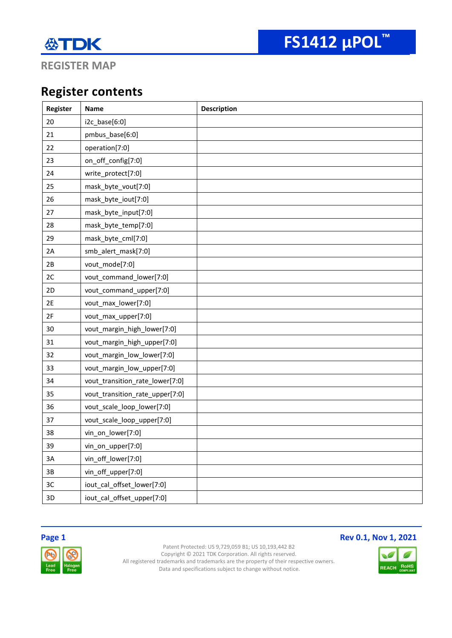

**REGISTER MAP**

### **Register contents**

| Register | Name                            | <b>Description</b> |
|----------|---------------------------------|--------------------|
| 20       | i2c_base[6:0]                   |                    |
| 21       | pmbus_base[6:0]                 |                    |
| 22       | operation[7:0]                  |                    |
| 23       | on_off_config[7:0]              |                    |
| 24       | write_protect[7:0]              |                    |
| 25       | mask_byte_vout[7:0]             |                    |
| 26       | mask_byte_iout[7:0]             |                    |
| 27       | mask_byte_input[7:0]            |                    |
| 28       | mask_byte_temp[7:0]             |                    |
| 29       | mask_byte_cml[7:0]              |                    |
| 2A       | smb_alert_mask[7:0]             |                    |
| 2B       | vout_mode[7:0]                  |                    |
| 2C       | vout_command_lower[7:0]         |                    |
| 2D       | vout_command_upper[7:0]         |                    |
| 2E       | vout_max_lower[7:0]             |                    |
| 2F       | vout_max_upper[7:0]             |                    |
| 30       | vout_margin_high_lower[7:0]     |                    |
| 31       | vout_margin_high_upper[7:0]     |                    |
| 32       | vout_margin_low_lower[7:0]      |                    |
| 33       | vout_margin_low_upper[7:0]      |                    |
| 34       | vout_transition_rate_lower[7:0] |                    |
| 35       | vout_transition_rate_upper[7:0] |                    |
| 36       | vout_scale_loop_lower[7:0]      |                    |
| 37       | vout_scale_loop_upper[7:0]      |                    |
| 38       | vin_on_lower[7:0]               |                    |
| 39       | vin_on_upper[7:0]               |                    |
| 3A       | vin_off_lower[7:0]              |                    |
| 3B       | vin_off_upper[7:0]              |                    |
| $3C$     | iout_cal_offset_lower[7:0]      |                    |
| 3D       | iout_cal_offset_upper[7:0]      |                    |





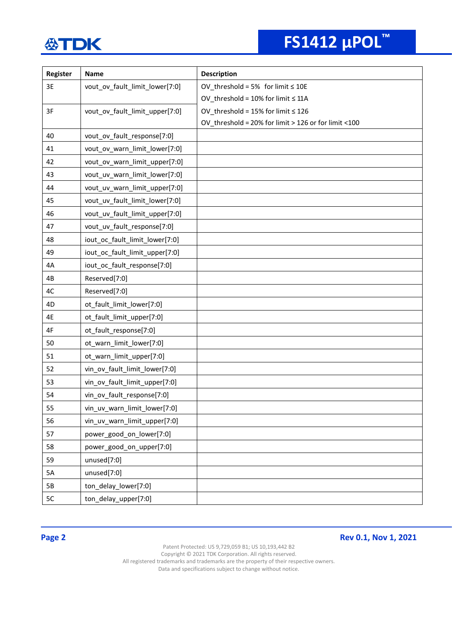# **FS1412 µPOL™**

| Register | Name                           | <b>Description</b>                                   |
|----------|--------------------------------|------------------------------------------------------|
| 3E       | vout_ov_fault_limit_lower[7:0] | OV threshold = 5% for limit $\leq 10E$               |
|          |                                | OV_threshold = $10\%$ for limit $\leq 11$ A          |
| 3F       | vout_ov_fault_limit_upper[7:0] | OV_threshold = 15% for limit $\leq$ 126              |
|          |                                | OV_threshold = 20% for limit > 126 or for limit <100 |
| 40       | vout_ov_fault_response[7:0]    |                                                      |
| 41       | vout_ov_warn_limit_lower[7:0]  |                                                      |
| 42       | vout_ov_warn_limit_upper[7:0]  |                                                      |
| 43       | vout_uv_warn_limit_lower[7:0]  |                                                      |
| 44       | vout_uv_warn_limit_upper[7:0]  |                                                      |
| 45       | vout_uv_fault_limit_lower[7:0] |                                                      |
| 46       | vout_uv_fault_limit_upper[7:0] |                                                      |
| 47       | vout_uv_fault_response[7:0]    |                                                      |
| 48       | iout_oc_fault_limit_lower[7:0] |                                                      |
| 49       | iout_oc_fault_limit_upper[7:0] |                                                      |
| 4A       | iout_oc_fault_response[7:0]    |                                                      |
| 4B       | Reserved[7:0]                  |                                                      |
| 4C       | Reserved[7:0]                  |                                                      |
| 4D       | ot_fault_limit_lower[7:0]      |                                                      |
| 4E       | ot_fault_limit_upper[7:0]      |                                                      |
| 4F       | ot_fault_response[7:0]         |                                                      |
| 50       | ot_warn_limit_lower[7:0]       |                                                      |
| 51       | ot_warn_limit_upper[7:0]       |                                                      |
| 52       | vin_ov_fault_limit_lower[7:0]  |                                                      |
| 53       | vin ov fault limit upper[7:0]  |                                                      |
| 54       | vin_ov_fault_response[7:0]     |                                                      |
| 55       | vin_uv_warn_limit_lower[7:0]   |                                                      |
| 56       | vin_uv_warn_limit_upper[7:0]   |                                                      |
| 57       | power_good_on_lower[7:0]       |                                                      |
| 58       | power_good_on_upper[7:0]       |                                                      |
| 59       | unused[7:0]                    |                                                      |
| 5A       | unused[7:0]                    |                                                      |
| 5B       | ton_delay_lower[7:0]           |                                                      |
| 5C       | ton_delay_upper[7:0]           |                                                      |

**Page 2 Rev 0.1, Nov 1, 2021** 

Patent Protected: US 9,729,059 B1; US 10,193,442 B2 Copyright © 2021 TDK Corporation. All rights reserved. All registered trademarks and trademarks are the property of their respective owners.

Data and specifications subject to change without notice.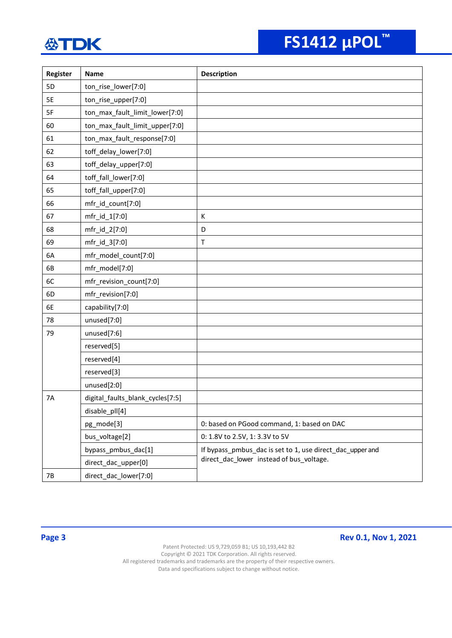| Register | Name                             | <b>Description</b>                                        |
|----------|----------------------------------|-----------------------------------------------------------|
| 5D       | ton_rise_lower[7:0]              |                                                           |
| 5E       | ton_rise_upper[7:0]              |                                                           |
| 5F       | ton_max_fault_limit_lower[7:0]   |                                                           |
| 60       | ton_max_fault_limit_upper[7:0]   |                                                           |
| 61       | ton_max_fault_response[7:0]      |                                                           |
| 62       | toff_delay_lower[7:0]            |                                                           |
| 63       | toff_delay_upper[7:0]            |                                                           |
| 64       | toff_fall_lower[7:0]             |                                                           |
| 65       | toff_fall_upper[7:0]             |                                                           |
| 66       | mfr_id_count[7:0]                |                                                           |
| 67       | mfr_id_1[7:0]                    | К                                                         |
| 68       | mfr_id_2[7:0]                    | D                                                         |
| 69       | mfr_id_3[7:0]                    | T                                                         |
| 6A       | mfr_model_count[7:0]             |                                                           |
| 6B       | mfr_model[7:0]                   |                                                           |
| 6C       | mfr_revision_count[7:0]          |                                                           |
| 6D       | mfr_revision[7:0]                |                                                           |
| 6E       | capability[7:0]                  |                                                           |
| 78       | unused[7:0]                      |                                                           |
| 79       | unused[7:6]                      |                                                           |
|          | reserved[5]                      |                                                           |
|          | reserved[4]                      |                                                           |
|          | reserved[3]                      |                                                           |
|          | unused[2:0]                      |                                                           |
| 7A       | digital_faults_blank_cycles[7:5] |                                                           |
|          | disable_pll[4]                   |                                                           |
|          | pg_mode[3]                       | 0: based on PGood command, 1: based on DAC                |
|          | bus_voltage[2]                   | 0: 1.8V to 2.5V, 1: 3.3V to 5V                            |
|          | bypass_pmbus_dac[1]              | If bypass_pmbus_dac is set to 1, use direct_dac_upper and |
|          | direct_dac_upper[0]              | direct dac lower instead of bus voltage.                  |
| 7B       | direct_dac_lower[7:0]            |                                                           |

**Page 3 Rev 0.1, Nov 1, 2021**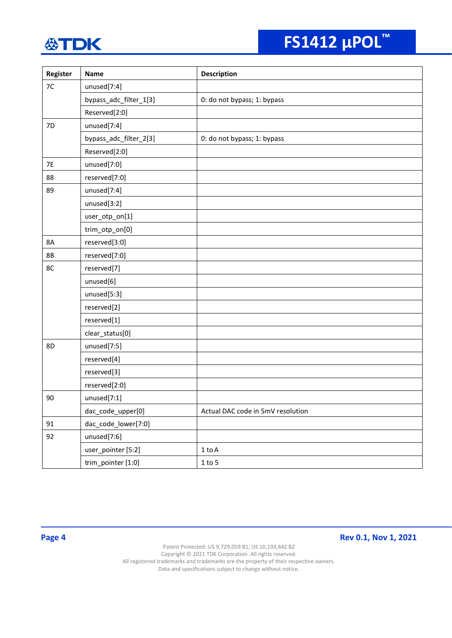# **FS1412 µPOL™**

| Register  | Name                   | <b>Description</b>                |
|-----------|------------------------|-----------------------------------|
| $7C$      | unused[7:4]            |                                   |
|           | bypass_adc_filter_1[3] | 0: do not bypass; 1: bypass       |
|           | Reserved[2:0]          |                                   |
| 7D        | unused[7:4]            |                                   |
|           | bypass_adc_filter_2[3] | 0: do not bypass; 1: bypass       |
|           | Reserved[2:0]          |                                   |
| <b>7E</b> | unused[7:0]            |                                   |
| 88        | reserved[7:0]          |                                   |
| 89        | unused[7:4]            |                                   |
|           | unused[3:2]            |                                   |
|           | user_otp_on[1]         |                                   |
|           | trim_otp_on[0]         |                                   |
| 8A        | reserved[3:0]          |                                   |
| <b>8B</b> | reserved[7:0]          |                                   |
| 8C        | reserved[7]            |                                   |
|           | unused[6]              |                                   |
|           | unused[5:3]            |                                   |
|           | reserved[2]            |                                   |
|           | reserved[1]            |                                   |
|           | clear_status[0]        |                                   |
| 8D        | unused[7:5]            |                                   |
|           | reserved[4]            |                                   |
|           | reserved[3]            |                                   |
|           | reserved[2:0]          |                                   |
| 90        | unused[7:1]            |                                   |
|           | dac_code_upper[0]      | Actual DAC code in 5mV resolution |
| 91        | dac_code_lower[7:0]    |                                   |
| 92        | unused[7:6]            |                                   |
|           | user_pointer [5:2]     | $1$ to $\mathsf A$                |
|           | trim_pointer [1:0]     | $1$ to $5$                        |

**Page 4 Rev 0.1, Nov 1, 2021**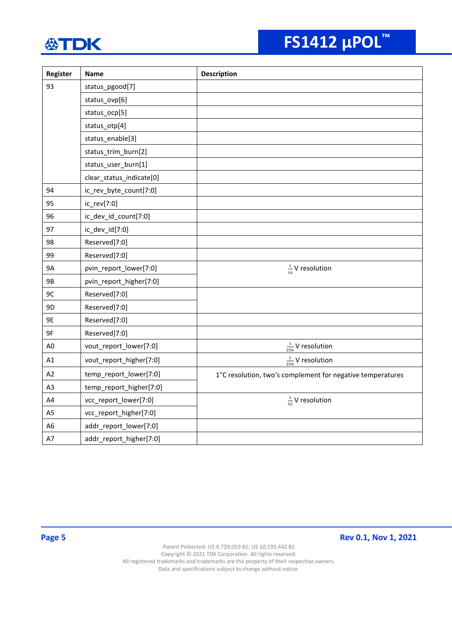| Register       | <b>Name</b>              | <b>Description</b>                                         |
|----------------|--------------------------|------------------------------------------------------------|
| 93             | status_pgood[7]          |                                                            |
|                | status_ovp[6]            |                                                            |
|                | status_ocp[5]            |                                                            |
|                | status_otp[4]            |                                                            |
|                | status_enable[3]         |                                                            |
|                | status_trim_burn[2]      |                                                            |
|                | status_user_burn[1]      |                                                            |
|                | clear_status_indicate[0] |                                                            |
| 94             | ic_rev_byte_count[7:0]   |                                                            |
| 95             | ic_rev[7:0]              |                                                            |
| 96             | ic_dev_id_count[7:0]     |                                                            |
| 97             | ic_dev_id[7:0]           |                                                            |
| 98             | Reserved]7:0]            |                                                            |
| 99             | Reserved]7:0]            |                                                            |
| <b>9A</b>      | pvin_report_lower[7:0]   | $\frac{1}{16}$ V resolution                                |
| 9B             | pvin_report_higher[7:0]  |                                                            |
| 9C             | Reserved]7:0]            |                                                            |
| 9D             | Reserved]7:0]            |                                                            |
| 9E             | Reserved]7:0]            |                                                            |
| 9F             | Reserved]7:0]            |                                                            |
| A <sub>0</sub> | vout_report_lower[7:0]   | $\frac{1}{256}$ V resolution                               |
| A1             | vout_report_higher[7:0]  | $\frac{1}{256}$ V resolution                               |
| A2             | temp_report_lower[7:0]   | 1°C resolution, two's complement for negative temperatures |
| A <sub>3</sub> | temp_report_higher[7:0]  |                                                            |
| A4             | vcc_report_lower[7:0]    | $\frac{1}{32}$ V resolution                                |
| A <sub>5</sub> | vcc_report_higher[7:0]   |                                                            |
| A <sub>6</sub> | addr_report_lower[7:0]   |                                                            |
| A7             | addr_report_higher[7:0]  |                                                            |

**Page 5 Rev 0.1, Nov 1, 2021**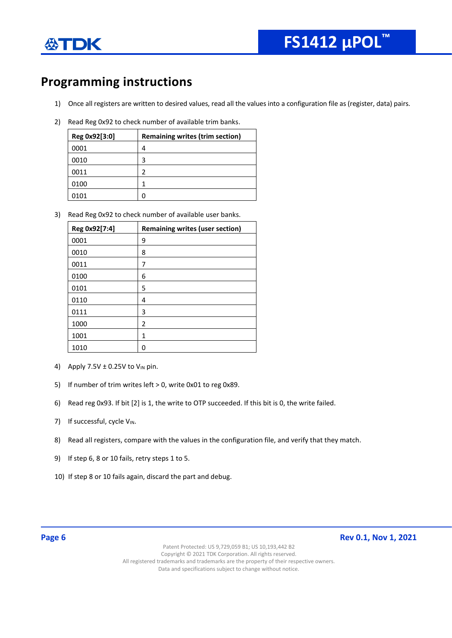

### **Programming instructions**

- 1) Once all registers are written to desired values, read all the values into a configuration file as (register, data) pairs.
- 2) Read Reg 0x92 to check number of available trim banks.

| Reg 0x92[3:0] | <b>Remaining writes (trim section)</b> |
|---------------|----------------------------------------|
| 0001          | 4                                      |
| 0010          | 3                                      |
| 0011          | 2                                      |
| 0100          |                                        |
| 0101          | Π                                      |

3) Read Reg 0x92 to check number of available user banks.

| Reg 0x92[7:4] | <b>Remaining writes (user section)</b> |
|---------------|----------------------------------------|
| 0001          | 9                                      |
| 0010          | 8                                      |
| 0011          | 7                                      |
| 0100          | 6                                      |
| 0101          | 5                                      |
| 0110          | 4                                      |
| 0111          | 3                                      |
| 1000          | $\overline{2}$                         |
| 1001          | 1                                      |
| 1010          | Ω                                      |

- 4) Apply 7.5V  $\pm$  0.25V to V<sub>IN</sub> pin.
- 5) If number of trim writes left > 0, write 0x01 to reg 0x89.
- 6) Read reg 0x93. If bit [2] is 1, the write to OTP succeeded. If this bit is 0, the write failed.
- 7) If successful, cycle  $V_{IN}$ .
- 8) Read all registers, compare with the values in the configuration file, and verify that they match.
- 9) If step 6, 8 or 10 fails, retry steps 1 to 5.
- 10) If step 8 or 10 fails again, discard the part and debug.

**Page 6 Rev 0.1, Nov 1, 2021**